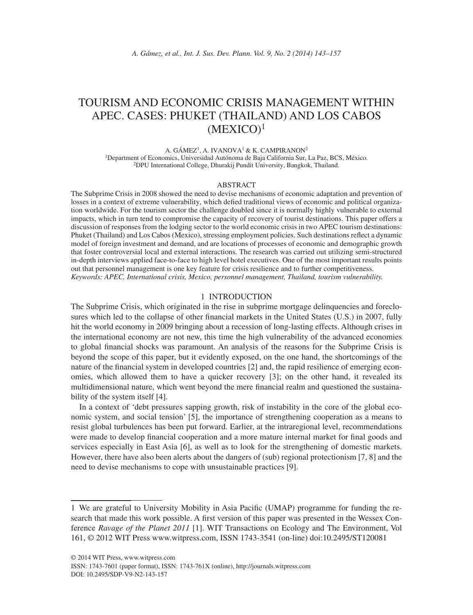# TOURISM AND ECONOMIC CRISIS MANAGEMENT WITHIN APEC. CASES: PHUKET (THAILAND) AND LOS CABOS  $(MEXICO)^1$

A. GÁMEZ<sup>1</sup>, A. IVANOVA<sup>1</sup> & K. CAMPIRANON<sup>2</sup>

1Department of Economics, Universidad Autónoma de Baja California Sur, La Paz, BCS, México. 2DPU International College, Dhurakij Pundit University, Bangkok, Thailand.

#### ABSTRACT

The Subprime Crisis in 2008 showed the need to devise mechanisms of economic adaptation and prevention of losses in a context of extreme vulnerability, which defied traditional views of economic and political organization worldwide. For the tourism sector the challenge doubled since it is normally highly vulnerable to external impacts, which in turn tend to compromise the capacity of recovery of tourist destinations. This paper offers a discussion of responses from the lodging sector to the world economic crisis in two APEC tourism destinations: Phuket (Thailand) and Los Cabos (Mexico), stressing employment policies. Such destinations reflect a dynamic model of foreign investment and demand, and are locations of processes of economic and demographic growth that foster controversial local and external interactions. The research was carried out utilizing semi-structured in-depth interviews applied face-to-face to high level hotel executives. One of the most important results points out that personnel management is one key feature for crisis resilience and to further competitiveness. *Keywords: APEC, International crisis, Mexico, personnel management, Thailand, tourism vulnerability.*

#### 1 INTRODUCTION

The Subprime Crisis, which originated in the rise in subprime mortgage delinquencies and foreclosures which led to the collapse of other financial markets in the United States (U.S.) in 2007, fully hit the world economy in 2009 bringing about a recession of long-lasting effects. Although crises in the international economy are not new, this time the high vulnerability of the advanced economies to global financial shocks was paramount. An analysis of the reasons for the Subprime Crisis is beyond the scope of this paper, but it evidently exposed, on the one hand, the shortcomings of the nature of the financial system in developed countries [2] and, the rapid resilience of emerging economies, which allowed them to have a quicker recovery [3]; on the other hand, it revealed its multidimensional nature, which went beyond the mere financial realm and questioned the sustainability of the system itself [4].

In a context of 'debt pressures sapping growth, risk of instability in the core of the global economic system, and social tension' [5], the importance of strengthening cooperation as a means to resist global turbulences has been put forward. Earlier, at the intraregional level, recommendations were made to develop financial cooperation and a more mature internal market for final goods and services especially in East Asia [6], as well as to look for the strengthening of domestic markets. However, there have also been alerts about the dangers of (sub) regional protectionism [7, 8] and the need to devise mechanisms to cope with unsustainable practices [9].

<sup>1</sup> We are grateful to University Mobility in Asia Pacifi c (UMAP) programme for funding the research that made this work possible. A first version of this paper was presented in the Wessex Conference *Ravage of the Planet 2011* [1]. WIT Transactions on Ecology and The Environment, Vol 161, © 2012 WIT Press www.witpress.com, ISSN 1743-3541 (on-line) doi:10.2495/ST120081

ISSN: 1743-7601 (paper format), ISSN: 1743-761X (online), http://journals.witpress.com DOI: 10.2495/SDP-V9-N2-143-157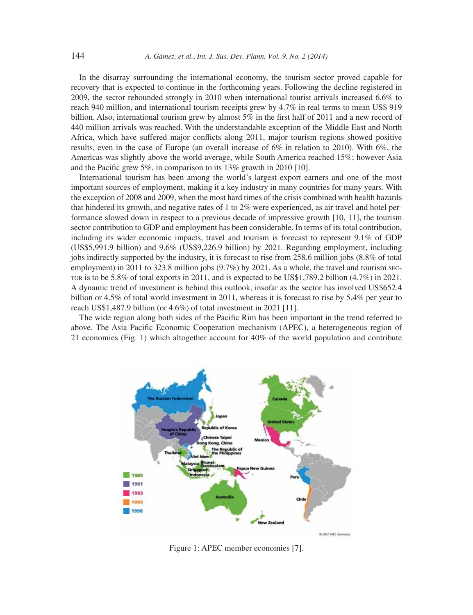In the disarray surrounding the international economy, the tourism sector proved capable for recovery that is expected to continue in the forthcoming years. Following the decline registered in 2009, the sector rebounded strongly in 2010 when international tourist arrivals increased 6.6% to reach 940 million, and international tourism receipts grew by 4.7% in real terms to mean US\$ 919 billion. Also, international tourism grew by almost  $5\%$  in the first half of 2011 and a new record of 440 million arrivals was reached. With the understandable exception of the Middle East and North Africa, which have suffered major conflicts along 2011, major tourism regions showed positive results, even in the case of Europe (an overall increase of 6% in relation to 2010). With 6%, the Americas was slightly above the world average, while South America reached 15%; however Asia and the Pacific grew 5%, in comparison to its  $13\%$  growth in 2010 [10].

International tourism has been among the world's largest export earners and one of the most important sources of employment, making it a key industry in many countries for many years. With the exception of 2008 and 2009, when the most hard times of the crisis combined with health hazards that hindered its growth, and negative rates of 1 to 2% were experienced, as air travel and hotel performance slowed down in respect to a previous decade of impressive growth [10, 11], the tourism sector contribution to GDP and employment has been considerable. In terms of its total contribution, including its wider economic impacts, travel and tourism is forecast to represent 9.1% of GDP (US\$5,991.9 billion) and 9.6% (US\$9,226.9 billion) by 2021. Regarding employment, including jobs indirectly supported by the industry, it is forecast to rise from 258.6 million jobs (8.8% of total employment) in 2011 to 323.8 million jobs (9.7%) by 2021. As a whole, the travel and tourism sec-TOR is to be 5.8% of total exports in 2011, and is expected to be US\$1,789.2 billion (4.7%) in 2021. A dynamic trend of investment is behind this outlook, insofar as the sector has involved US\$652.4 billion or 4.5% of total world investment in 2011, whereas it is forecast to rise by 5.4% per year to reach US\$1,487.9 billion (or 4.6%) of total investment in 2021 [11].

The wide region along both sides of the Pacific Rim has been important in the trend referred to above. The Asia Pacific Economic Cooperation mechanism (APEC), a heterogeneous region of 21 economies (Fig. 1) which altogether account for 40% of the world population and contribute



Figure 1: APEC member economies [7].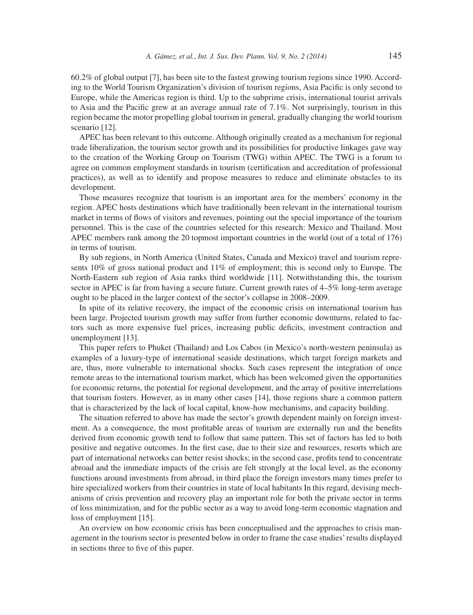60.2% of global output [7], has been site to the fastest growing tourism regions since 1990. According to the World Tourism Organization's division of tourism regions, Asia Pacific is only second to Europe, while the Americas region is third. Up to the subprime crisis, international tourist arrivals to Asia and the Pacific grew at an average annual rate of  $7.1\%$ . Not surprisingly, tourism in this region became the motor propelling global tourism in general, gradually changing the world tourism scenario [12].

APEC has been relevant to this outcome. Although originally created as a mechanism for regional trade liberalization, the tourism sector growth and its possibilities for productive linkages gave way to the creation of the Working Group on Tourism (TWG) within APEC. The TWG is a forum to agree on common employment standards in tourism (certification and accreditation of professional practices), as well as to identify and propose measures to reduce and eliminate obstacles to its development.

Those measures recognize that tourism is an important area for the members' economy in the region. APEC hosts destinations which have traditionally been relevant in the international tourism market in terms of flows of visitors and revenues, pointing out the special importance of the tourism personnel. This is the case of the countries selected for this research: Mexico and Thailand. Most APEC members rank among the 20 topmost important countries in the world (out of a total of 176) in terms of tourism.

By sub regions, in North America (United States, Canada and Mexico) travel and tourism represents 10% of gross national product and 11% of employment; this is second only to Europe. The North-Eastern sub region of Asia ranks third worldwide [11]. Notwithstanding this, the tourism sector in APEC is far from having a secure future. Current growth rates of 4–5% long-term average ought to be placed in the larger context of the sector's collapse in 2008–2009.

In spite of its relative recovery, the impact of the economic crisis on international tourism has been large. Projected tourism growth may suffer from further economic downturns, related to factors such as more expensive fuel prices, increasing public deficits, investment contraction and unemployment [13].

This paper refers to Phuket (Thailand) and Los Cabos (in Mexico's north-western peninsula) as examples of a luxury-type of international seaside destinations, which target foreign markets and are, thus, more vulnerable to international shocks. Such cases represent the integration of once remote areas to the international tourism market, which has been welcomed given the opportunities for economic returns, the potential for regional development, and the array of positive interrelations that tourism fosters. However, as in many other cases [14], those regions share a common pattern that is characterized by the lack of local capital, know-how mechanisms, and capacity building.

The situation referred to above has made the sector's growth dependent mainly on foreign investment. As a consequence, the most profitable areas of tourism are externally run and the benefits derived from economic growth tend to follow that same pattern. This set of factors has led to both positive and negative outcomes. In the first case, due to their size and resources, resorts which are part of international networks can better resist shocks; in the second case, profits tend to concentrate abroad and the immediate impacts of the crisis are felt strongly at the local level, as the economy functions around investments from abroad, in third place the foreign investors many times prefer to hire specialized workers from their countries in state of local habitants In this regard, devising mechanisms of crisis prevention and recovery play an important role for both the private sector in terms of loss minimization, and for the public sector as a way to avoid long-term economic stagnation and loss of employment [15].

An overview on how economic crisis has been conceptualised and the approaches to crisis management in the tourism sector is presented below in order to frame the case studies' results displayed in sections three to five of this paper.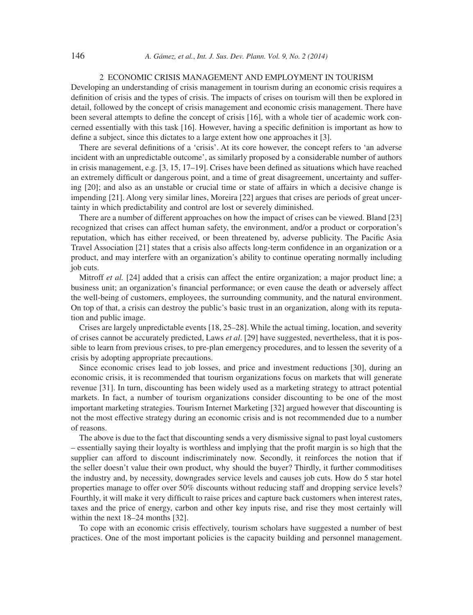## 2 ECONOMIC CRISIS MANAGEMENT AND EMPLOYMENT IN TOURISM

Developing an understanding of crisis management in tourism during an economic crisis requires a definition of crisis and the types of crisis. The impacts of crises on tourism will then be explored in detail, followed by the concept of crisis management and economic crisis management. There have been several attempts to define the concept of crisis [16], with a whole tier of academic work concerned essentially with this task [16]. However, having a specific definition is important as how to define a subject, since this dictates to a large extent how one approaches it  $[3]$ .

There are several definitions of a 'crisis'. At its core however, the concept refers to 'an adverse incident with an unpredictable outcome', as similarly proposed by a considerable number of authors in crisis management, e.g.  $[3, 15, 17–19]$ . Crises have been defined as situations which have reached an extremely difficult or dangerous point, and a time of great disagreement, uncertainty and suffering [20]; and also as an unstable or crucial time or state of affairs in which a decisive change is impending [21]. Along very similar lines, Moreira [22] argues that crises are periods of great uncertainty in which predictability and control are lost or severely diminished.

There are a number of different approaches on how the impact of crises can be viewed. Bland [23] recognized that crises can affect human safety, the environment, and/or a product or corporation's reputation, which has either received, or been threatened by, adverse publicity. The Pacific Asia Travel Association [21] states that a crisis also affects long-term confidence in an organization or a product, and may interfere with an organization's ability to continue operating normally including job cuts.

Mitroff *et al.* [24] added that a crisis can affect the entire organization; a major product line; a business unit; an organization's financial performance; or even cause the death or adversely affect the well-being of customers, employees, the surrounding community, and the natural environment. On top of that, a crisis can destroy the public's basic trust in an organization, along with its reputation and public image.

Crises are largely unpredictable events [18, 25–28]. While the actual timing, location, and severity of crises cannot be accurately predicted, Laws *et al*. [29] have suggested, nevertheless, that it is possible to learn from previous crises, to pre-plan emergency procedures, and to lessen the severity of a crisis by adopting appropriate precautions.

Since economic crises lead to job losses, and price and investment reductions [30], during an economic crisis, it is recommended that tourism organizations focus on markets that will generate revenue [31]. In turn, discounting has been widely used as a marketing strategy to attract potential markets. In fact, a number of tourism organizations consider discounting to be one of the most important marketing strategies. Tourism Internet Marketing [32] argued however that discounting is not the most effective strategy during an economic crisis and is not recommended due to a number of reasons.

The above is due to the fact that discounting sends a very dismissive signal to past loyal customers – essentially saying their loyalty is worthless and implying that the profi t margin is so high that the supplier can afford to discount indiscriminately now. Secondly, it reinforces the notion that if the seller doesn't value their own product, why should the buyer? Thirdly, it further commoditises the industry and, by necessity, downgrades service levels and causes job cuts. How do 5 star hotel properties manage to offer over 50% discounts without reducing staff and dropping service levels? Fourthly, it will make it very difficult to raise prices and capture back customers when interest rates, taxes and the price of energy, carbon and other key inputs rise, and rise they most certainly will within the next 18–24 months [32].

To cope with an economic crisis effectively, tourism scholars have suggested a number of best practices. One of the most important policies is the capacity building and personnel management.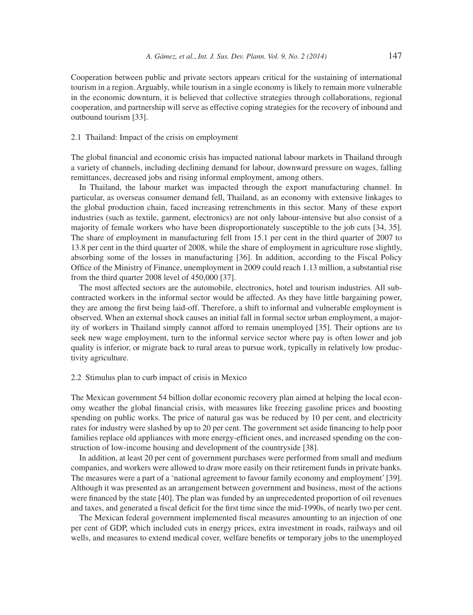Cooperation between public and private sectors appears critical for the sustaining of international tourism in a region. Arguably, while tourism in a single economy is likely to remain more vulnerable in the economic downturn, it is believed that collective strategies through collaborations, regional cooperation, and partnership will serve as effective coping strategies for the recovery of inbound and outbound tourism [33].

## 2.1 Thailand: Impact of the crisis on employment

The global financial and economic crisis has impacted national labour markets in Thailand through a variety of channels, including declining demand for labour, downward pressure on wages, falling remittances, decreased jobs and rising informal employment, among others.

In Thailand, the labour market was impacted through the export manufacturing channel. In particular, as overseas consumer demand fell, Thailand, as an economy with extensive linkages to the global production chain, faced increasing retrenchments in this sector. Many of these export industries (such as textile, garment, electronics) are not only labour-intensive but also consist of a majority of female workers who have been disproportionately susceptible to the job cuts [34, 35]. The share of employment in manufacturing fell from 15.1 per cent in the third quarter of 2007 to 13.8 per cent in the third quarter of 2008, while the share of employment in agriculture rose slightly, absorbing some of the losses in manufacturing [36]. In addition, according to the Fiscal Policy Office of the Ministry of Finance, unemployment in 2009 could reach 1.13 million, a substantial rise from the third quarter 2008 level of 450,000 [37].

The most affected sectors are the automobile, electronics, hotel and tourism industries. All subcontracted workers in the informal sector would be affected. As they have little bargaining power, they are among the first being laid-off. Therefore, a shift to informal and vulnerable employment is observed. When an external shock causes an initial fall in formal sector urban employment, a majority of workers in Thailand simply cannot afford to remain unemployed [35]. Their options are to seek new wage employment, turn to the informal service sector where pay is often lower and job quality is inferior, or migrate back to rural areas to pursue work, typically in relatively low productivity agriculture.

#### 2.2 Stimulus plan to curb impact of crisis in Mexico

The Mexican government 54 billion dollar economic recovery plan aimed at helping the local economy weather the global financial crisis, with measures like freezing gasoline prices and boosting spending on public works. The price of natural gas was be reduced by 10 per cent, and electricity rates for industry were slashed by up to 20 per cent. The government set aside financing to help poor families replace old appliances with more energy-efficient ones, and increased spending on the construction of low-income housing and development of the countryside [38].

In addition, at least 20 per cent of government purchases were performed from small and medium companies, and workers were allowed to draw more easily on their retirement funds in private banks. The measures were a part of a 'national agreement to favour family economy and employment' [39]. Although it was presented as an arrangement between government and business, most of the actions were financed by the state [40]. The plan was funded by an unprecedented proportion of oil revenues and taxes, and generated a fiscal deficit for the first time since the mid-1990s, of nearly two per cent.

The Mexican federal government implemented fiscal measures amounting to an injection of one per cent of GDP, which included cuts in energy prices, extra investment in roads, railways and oil wells, and measures to extend medical cover, welfare benefits or temporary jobs to the unemployed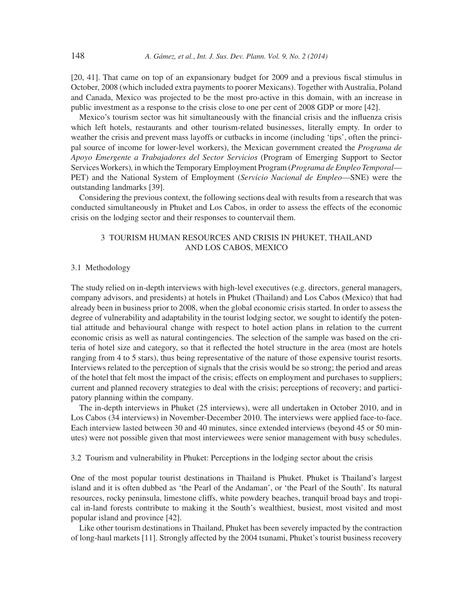$[20, 41]$ . That came on top of an expansionary budget for 2009 and a previous fiscal stimulus in October, 2008 (which included extra payments to poorer Mexicans). Together with Australia, Poland and Canada, Mexico was projected to be the most pro-active in this domain, with an increase in public investment as a response to the crisis close to one per cent of 2008 GDP or more [42].

Mexico's tourism sector was hit simultaneously with the financial crisis and the influenza crisis which left hotels, restaurants and other tourism-related businesses, literally empty. In order to weather the crisis and prevent mass layoffs or cutbacks in income (including 'tips', often the principal source of income for lower-level workers), the Mexican government created the *Programa de Apoyo Emergente a Trabajadores del Sector Servicios* (Program of Emerging Support to Sector Services Workers)*,* in which the Temporary Employment Program (*Programa de Empleo Temporal*— PET) and the National System of Employment (*Servicio Nacional de Empleo*—SNE) were the outstanding landmarks [39].

Considering the previous context, the following sections deal with results from a research that was conducted simultaneously in Phuket and Los Cabos, in order to assess the effects of the economic crisis on the lodging sector and their responses to countervail them.

## 3 TOURISM HUMAN RESOURCES AND CRISIS IN PHUKET, THAILAND AND LOS CABOS, MEXICO

## 3.1 Methodology

The study relied on in-depth interviews with high-level executives (e.g. directors, general managers, company advisors, and presidents) at hotels in Phuket (Thailand) and Los Cabos (Mexico) that had already been in business prior to 2008, when the global economic crisis started. In order to assess the degree of vulnerability and adaptability in the tourist lodging sector, we sought to identify the potential attitude and behavioural change with respect to hotel action plans in relation to the current economic crisis as well as natural contingencies. The selection of the sample was based on the criteria of hotel size and category, so that it reflected the hotel structure in the area (most are hotels ranging from 4 to 5 stars), thus being representative of the nature of those expensive tourist resorts. Interviews related to the perception of signals that the crisis would be so strong; the period and areas of the hotel that felt most the impact of the crisis; effects on employment and purchases to suppliers; current and planned recovery strategies to deal with the crisis; perceptions of recovery; and participatory planning within the company.

The in-depth interviews in Phuket (25 interviews), were all undertaken in October 2010, and in Los Cabos (34 interviews) in November-December 2010. The interviews were applied face-to-face. Each interview lasted between 30 and 40 minutes, since extended interviews (beyond 45 or 50 minutes) were not possible given that most interviewees were senior management with busy schedules.

## 3.2 Tourism and vulnerability in Phuket: Perceptions in the lodging sector about the crisis

One of the most popular tourist destinations in Thailand is Phuket. Phuket is Thailand's largest island and it is often dubbed as 'the Pearl of the Andaman', or 'the Pearl of the South'. Its natural resources, rocky peninsula, limestone cliffs, white powdery beaches, tranquil broad bays and tropical in-land forests contribute to making it the South's wealthiest, busiest, most visited and most popular island and province [42].

Like other tourism destinations in Thailand, Phuket has been severely impacted by the contraction of long-haul markets [11]. Strongly affected by the 2004 tsunami, Phuket's tourist business recovery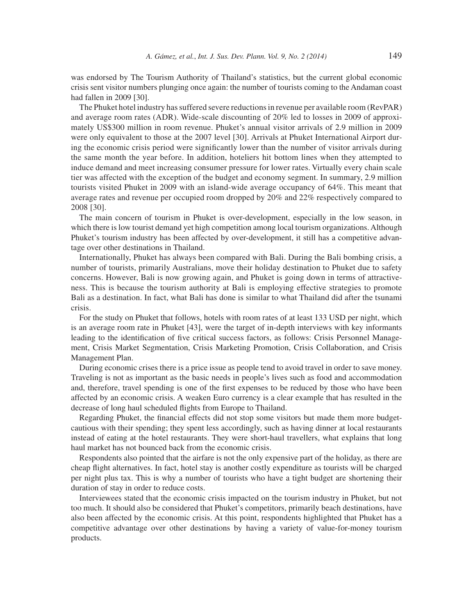was endorsed by The Tourism Authority of Thailand's statistics, but the current global economic crisis sent visitor numbers plunging once again: the number of tourists coming to the Andaman coast had fallen in 2009 [30].

The Phuket hotel industry has suffered severe reductions in revenue per available room (RevPAR) and average room rates (ADR). Wide-scale discounting of 20% led to losses in 2009 of approximately US\$300 million in room revenue. Phuket's annual visitor arrivals of 2.9 million in 2009 were only equivalent to those at the 2007 level [30]. Arrivals at Phuket International Airport during the economic crisis period were significantly lower than the number of visitor arrivals during the same month the year before. In addition, hoteliers hit bottom lines when they attempted to induce demand and meet increasing consumer pressure for lower rates. Virtually every chain scale tier was affected with the exception of the budget and economy segment. In summary, 2.9 million tourists visited Phuket in 2009 with an island-wide average occupancy of 64%. This meant that average rates and revenue per occupied room dropped by 20% and 22% respectively compared to 2008 [30].

The main concern of tourism in Phuket is over-development, especially in the low season, in which there is low tourist demand yet high competition among local tourism organizations. Although Phuket's tourism industry has been affected by over-development, it still has a competitive advantage over other destinations in Thailand.

Internationally, Phuket has always been compared with Bali. During the Bali bombing crisis, a number of tourists, primarily Australians, move their holiday destination to Phuket due to safety concerns. However, Bali is now growing again, and Phuket is going down in terms of attractiveness. This is because the tourism authority at Bali is employing effective strategies to promote Bali as a destination. In fact, what Bali has done is similar to what Thailand did after the tsunami crisis.

For the study on Phuket that follows, hotels with room rates of at least 133 USD per night, which is an average room rate in Phuket [43], were the target of in-depth interviews with key informants leading to the identification of five critical success factors, as follows: Crisis Personnel Management, Crisis Market Segmentation, Crisis Marketing Promotion, Crisis Collaboration, and Crisis Management Plan.

During economic crises there is a price issue as people tend to avoid travel in order to save money. Traveling is not as important as the basic needs in people's lives such as food and accommodation and, therefore, travel spending is one of the first expenses to be reduced by those who have been affected by an economic crisis. A weaken Euro currency is a clear example that has resulted in the decrease of long haul scheduled flights from Europe to Thailand.

Regarding Phuket, the financial effects did not stop some visitors but made them more budgetcautious with their spending; they spent less accordingly, such as having dinner at local restaurants instead of eating at the hotel restaurants. They were short-haul travellers, what explains that long haul market has not bounced back from the economic crisis.

Respondents also pointed that the airfare is not the only expensive part of the holiday, as there are cheap flight alternatives. In fact, hotel stay is another costly expenditure as tourists will be charged per night plus tax. This is why a number of tourists who have a tight budget are shortening their duration of stay in order to reduce costs.

Interviewees stated that the economic crisis impacted on the tourism industry in Phuket, but not too much. It should also be considered that Phuket's competitors, primarily beach destinations, have also been affected by the economic crisis. At this point, respondents highlighted that Phuket has a competitive advantage over other destinations by having a variety of value-for-money tourism products.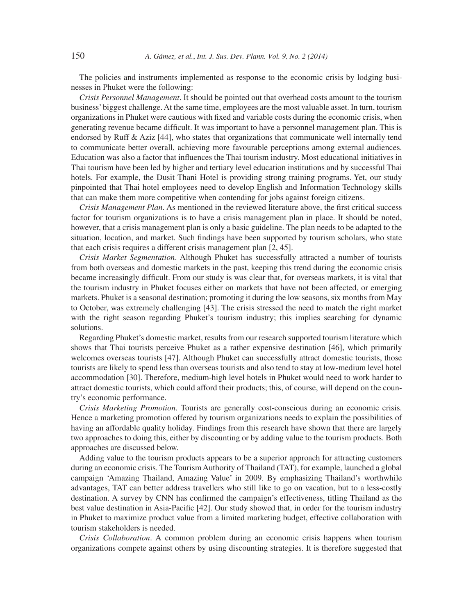The policies and instruments implemented as response to the economic crisis by lodging businesses in Phuket were the following:

*Crisis Personnel Management*. It should be pointed out that overhead costs amount to the tourism business' biggest challenge. At the same time, employees are the most valuable asset. In turn, tourism organizations in Phuket were cautious with fixed and variable costs during the economic crisis, when generating revenue became difficult. It was important to have a personnel management plan. This is endorsed by Ruff & Aziz [44], who states that organizations that communicate well internally tend to communicate better overall, achieving more favourable perceptions among external audiences. Education was also a factor that influences the Thai tourism industry. Most educational initiatives in Thai tourism have been led by higher and tertiary level education institutions and by successful Thai hotels. For example, the Dusit Thani Hotel is providing strong training programs. Yet, our study pinpointed that Thai hotel employees need to develop English and Information Technology skills that can make them more competitive when contending for jobs against foreign citizens.

*Crisis Management Plan.* As mentioned in the reviewed literature above, the first critical success factor for tourism organizations is to have a crisis management plan in place. It should be noted, however, that a crisis management plan is only a basic guideline. The plan needs to be adapted to the situation, location, and market. Such findings have been supported by tourism scholars, who state that each crisis requires a different crisis management plan [2, 45].

*Crisis Market Segmentation*. Although Phuket has successfully attracted a number of tourists from both overseas and domestic markets in the past, keeping this trend during the economic crisis became increasingly difficult. From our study is was clear that, for overseas markets, it is vital that the tourism industry in Phuket focuses either on markets that have not been affected, or emerging markets. Phuket is a seasonal destination; promoting it during the low seasons, six months from May to October, was extremely challenging [43]. The crisis stressed the need to match the right market with the right season regarding Phuket's tourism industry; this implies searching for dynamic solutions.

Regarding Phuket's domestic market, results from our research supported tourism literature which shows that Thai tourists perceive Phuket as a rather expensive destination [46], which primarily welcomes overseas tourists [47]. Although Phuket can successfully attract domestic tourists, those tourists are likely to spend less than overseas tourists and also tend to stay at low-medium level hotel accommodation [30]. Therefore, medium-high level hotels in Phuket would need to work harder to attract domestic tourists, which could afford their products; this, of course, will depend on the country's economic performance.

*Crisis Marketing Promotion*. Tourists are generally cost-conscious during an economic crisis. Hence a marketing promotion offered by tourism organizations needs to explain the possibilities of having an affordable quality holiday. Findings from this research have shown that there are largely two approaches to doing this, either by discounting or by adding value to the tourism products. Both approaches are discussed below.

Adding value to the tourism products appears to be a superior approach for attracting customers during an economic crisis. The Tourism Authority of Thailand (TAT), for example, launched a global campaign 'Amazing Thailand, Amazing Value' in 2009. By emphasizing Thailand's worthwhile advantages, TAT can better address travellers who still like to go on vacation, but to a less-costly destination. A survey by CNN has confirmed the campaign's effectiveness, titling Thailand as the best value destination in Asia-Pacific [42]. Our study showed that, in order for the tourism industry in Phuket to maximize product value from a limited marketing budget, effective collaboration with tourism stakeholders is needed.

*Crisis Collaboration*. A common problem during an economic crisis happens when tourism organizations compete against others by using discounting strategies. It is therefore suggested that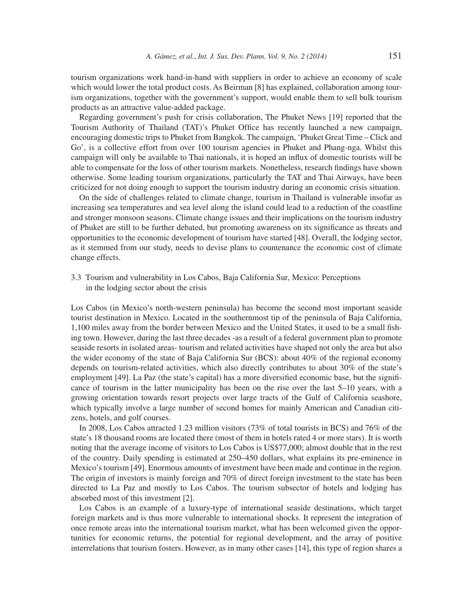tourism organizations work hand-in-hand with suppliers in order to achieve an economy of scale which would lower the total product costs. As Beirman [8] has explained, collaboration among tourism organizations, together with the government's support, would enable them to sell bulk tourism products as an attractive value-added package.

Regarding government's push for crisis collaboration, The Phuket News [19] reported that the Tourism Authority of Thailand (TAT)'s Phuket Office has recently launched a new campaign, encouraging domestic trips to Phuket from Bangkok. The campaign, 'Phuket Great Time – Click and Go', is a collective effort from over 100 tourism agencies in Phuket and Phang-nga. Whilst this campaign will only be available to Thai nationals, it is hoped an influx of domestic tourists will be able to compensate for the loss of other tourism markets. Nonetheless, research findings have shown otherwise. Some leading tourism organizations, particularly the TAT and Thai Airways, have been criticized for not doing enough to support the tourism industry during an economic crisis situation.

On the side of challenges related to climate change, tourism in Thailand is vulnerable insofar as increasing sea temperatures and sea level along the island could lead to a reduction of the coastline and stronger monsoon seasons. Climate change issues and their implications on the tourism industry of Phuket are still to be further debated, but promoting awareness on its significance as threats and opportunities to the economic development of tourism have started [48]. Overall, the lodging sector, as it stemmed from our study, needs to devise plans to countenance the economic cost of climate change effects.

3.3 Tourism and vulnerability in Los Cabos, Baja California Sur, Mexico: Perceptions in the lodging sector about the crisis

Los Cabos (in Mexico's north-western peninsula) has become the second most important seaside tourist destination in Mexico. Located in the southernmost tip of the peninsula of Baja California, 1,100 miles away from the border between Mexico and the United States, it used to be a small fishing town. However, during the last three decades -as a result of a federal government plan to promote seaside resorts in isolated areas- tourism and related activities have shaped not only the area but also the wider economy of the state of Baja California Sur (BCS): about 40% of the regional economy depends on tourism-related activities, which also directly contributes to about 30% of the state's employment [49]. La Paz (the state's capital) has a more diversified economic base, but the significance of tourism in the latter municipality has been on the rise over the last 5–10 years, with a growing orientation towards resort projects over large tracts of the Gulf of California seashore, which typically involve a large number of second homes for mainly American and Canadian citizens, hotels, and golf courses.

In 2008, Los Cabos attracted 1.23 million visitors (73% of total tourists in BCS) and 76% of the state's 18 thousand rooms are located there (most of them in hotels rated 4 or more stars). It is worth noting that the average income of visitors to Los Cabos is US\$77,000; almost double that in the rest of the country. Daily spending is estimated at 250–450 dollars, what explains its pre-eminence in Mexico's tourism [49]. Enormous amounts of investment have been made and continue in the region. The origin of investors is mainly foreign and 70% of direct foreign investment to the state has been directed to La Paz and mostly to Los Cabos. The tourism subsector of hotels and lodging has absorbed most of this investment [2].

Los Cabos is an example of a luxury-type of international seaside destinations, which target foreign markets and is thus more vulnerable to international shocks. It represent the integration of once remote areas into the international tourism market, what has been welcomed given the opportunities for economic returns, the potential for regional development, and the array of positive interrelations that tourism fosters. However, as in many other cases [14], this type of region shares a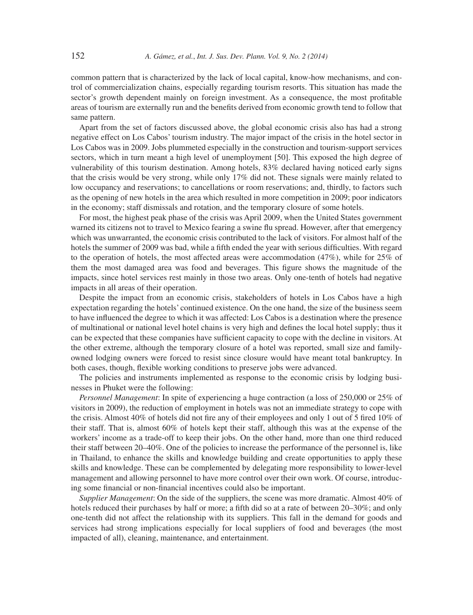common pattern that is characterized by the lack of local capital, know-how mechanisms, and control of commercialization chains, especially regarding tourism resorts. This situation has made the sector's growth dependent mainly on foreign investment. As a consequence, the most profitable areas of tourism are externally run and the benefits derived from economic growth tend to follow that same pattern.

Apart from the set of factors discussed above, the global economic crisis also has had a strong negative effect on Los Cabos' tourism industry. The major impact of the crisis in the hotel sector in Los Cabos was in 2009. Jobs plummeted especially in the construction and tourism-support services sectors, which in turn meant a high level of unemployment [50]. This exposed the high degree of vulnerability of this tourism destination. Among hotels, 83% declared having noticed early signs that the crisis would be very strong, while only 17% did not. These signals were mainly related to low occupancy and reservations; to cancellations or room reservations; and, thirdly, to factors such as the opening of new hotels in the area which resulted in more competition in 2009; poor indicators in the economy; staff dismissals and rotation, and the temporary closure of some hotels.

For most, the highest peak phase of the crisis was April 2009, when the United States government warned its citizens not to travel to Mexico fearing a swine flu spread. However, after that emergency which was unwarranted, the economic crisis contributed to the lack of visitors. For almost half of the hotels the summer of 2009 was bad, while a fifth ended the year with serious difficulties. With regard to the operation of hotels, the most affected areas were accommodation  $(47\%)$ , while for 25% of them the most damaged area was food and beverages. This figure shows the magnitude of the impacts, since hotel services rest mainly in those two areas. Only one-tenth of hotels had negative impacts in all areas of their operation.

Despite the impact from an economic crisis, stakeholders of hotels in Los Cabos have a high expectation regarding the hotels' continued existence. On the one hand, the size of the business seem to have influenced the degree to which it was affected: Los Cabos is a destination where the presence of multinational or national level hotel chains is very high and defines the local hotel supply; thus it can be expected that these companies have sufficient capacity to cope with the decline in visitors. At the other extreme, although the temporary closure of a hotel was reported, small size and familyowned lodging owners were forced to resist since closure would have meant total bankruptcy. In both cases, though, flexible working conditions to preserve jobs were advanced.

The policies and instruments implemented as response to the economic crisis by lodging businesses in Phuket were the following:

*Personnel Management*: In spite of experiencing a huge contraction (a loss of 250,000 or 25% of visitors in 2009), the reduction of employment in hotels was not an immediate strategy to cope with the crisis. Almost  $40\%$  of hotels did not fire any of their employees and only 1 out of 5 fired  $10\%$  of their staff. That is, almost 60% of hotels kept their staff, although this was at the expense of the workers' income as a trade-off to keep their jobs. On the other hand, more than one third reduced their staff between 20–40%. One of the policies to increase the performance of the personnel is, like in Thailand, to enhance the skills and knowledge building and create opportunities to apply these skills and knowledge. These can be complemented by delegating more responsibility to lower-level management and allowing personnel to have more control over their own work. Of course, introducing some financial or non-financial incentives could also be important.

*Supplier Management*: On the side of the suppliers, the scene was more dramatic. Almost 40% of hotels reduced their purchases by half or more; a fifth did so at a rate of between 20–30%; and only one-tenth did not affect the relationship with its suppliers. This fall in the demand for goods and services had strong implications especially for local suppliers of food and beverages (the most impacted of all), cleaning, maintenance, and entertainment.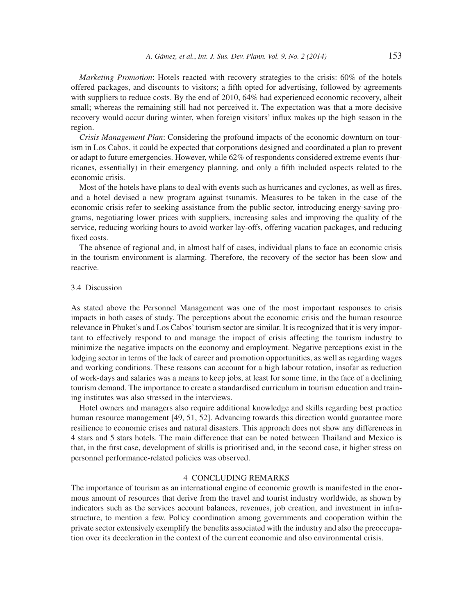*Marketing Promotion*: Hotels reacted with recovery strategies to the crisis: 60% of the hotels offered packages, and discounts to visitors; a fifth opted for advertising, followed by agreements with suppliers to reduce costs. By the end of 2010, 64% had experienced economic recovery, albeit small; whereas the remaining still had not perceived it. The expectation was that a more decisive recovery would occur during winter, when foreign visitors' influx makes up the high season in the region.

*Crisis Management Plan*: Considering the profound impacts of the economic downturn on tourism in Los Cabos, it could be expected that corporations designed and coordinated a plan to prevent or adapt to future emergencies. However, while 62% of respondents considered extreme events (hurricanes, essentially) in their emergency planning, and only a fifth included aspects related to the economic crisis.

Most of the hotels have plans to deal with events such as hurricanes and cyclones, as well as fires, and a hotel devised a new program against tsunamis. Measures to be taken in the case of the economic crisis refer to seeking assistance from the public sector, introducing energy-saving programs, negotiating lower prices with suppliers, increasing sales and improving the quality of the service, reducing working hours to avoid worker lay-offs, offering vacation packages, and reducing fixed costs.

The absence of regional and, in almost half of cases, individual plans to face an economic crisis in the tourism environment is alarming. Therefore, the recovery of the sector has been slow and reactive.

## 3.4 Discussion

As stated above the Personnel Management was one of the most important responses to crisis impacts in both cases of study. The perceptions about the economic crisis and the human resource relevance in Phuket's and Los Cabos' tourism sector are similar. It is recognized that it is very important to effectively respond to and manage the impact of crisis affecting the tourism industry to minimize the negative impacts on the economy and employment. Negative perceptions exist in the lodging sector in terms of the lack of career and promotion opportunities, as well as regarding wages and working conditions. These reasons can account for a high labour rotation, insofar as reduction of work-days and salaries was a means to keep jobs, at least for some time, in the face of a declining tourism demand. The importance to create a standardised curriculum in tourism education and training institutes was also stressed in the interviews.

Hotel owners and managers also require additional knowledge and skills regarding best practice human resource management [49, 51, 52]. Advancing towards this direction would guarantee more resilience to economic crises and natural disasters. This approach does not show any differences in 4 stars and 5 stars hotels. The main difference that can be noted between Thailand and Mexico is that, in the first case, development of skills is prioritised and, in the second case, it higher stress on personnel performance-related policies was observed.

#### 4 CONCLUDING REMARKS

The importance of tourism as an international engine of economic growth is manifested in the enormous amount of resources that derive from the travel and tourist industry worldwide, as shown by indicators such as the services account balances, revenues, job creation, and investment in infrastructure, to mention a few. Policy coordination among governments and cooperation within the private sector extensively exemplify the benefits associated with the industry and also the preoccupation over its deceleration in the context of the current economic and also environmental crisis.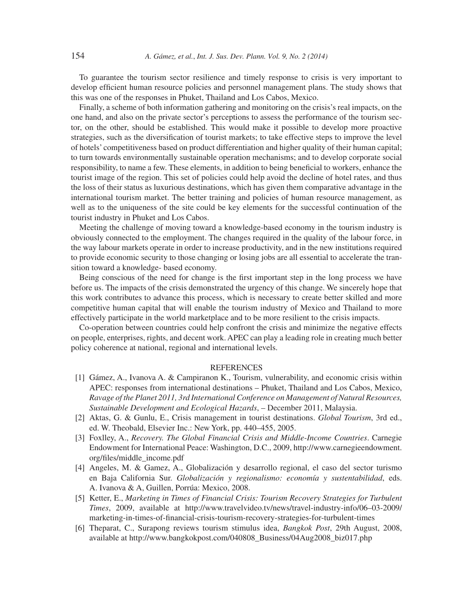To guarantee the tourism sector resilience and timely response to crisis is very important to develop efficient human resource policies and personnel management plans. The study shows that this was one of the responses in Phuket, Thailand and Los Cabos, Mexico.

Finally, a scheme of both information gathering and monitoring on the crisis's real impacts, on the one hand, and also on the private sector's perceptions to assess the performance of the tourism sector, on the other, should be established. This would make it possible to develop more proactive strategies, such as the diversification of tourist markets; to take effective steps to improve the level of hotels' competitiveness based on product differentiation and higher quality of their human capital; to turn towards environmentally sustainable operation mechanisms; and to develop corporate social responsibility, to name a few. These elements, in addition to being beneficial to workers, enhance the tourist image of the region. This set of policies could help avoid the decline of hotel rates, and thus the loss of their status as luxurious destinations, which has given them comparative advantage in the international tourism market. The better training and policies of human resource management, as well as to the uniqueness of the site could be key elements for the successful continuation of the tourist industry in Phuket and Los Cabos.

Meeting the challenge of moving toward a knowledge-based economy in the tourism industry is obviously connected to the employment. The changes required in the quality of the labour force, in the way labour markets operate in order to increase productivity, and in the new institutions required to provide economic security to those changing or losing jobs are all essential to accelerate the transition toward a knowledge- based economy.

Being conscious of the need for change is the first important step in the long process we have before us. The impacts of the crisis demonstrated the urgency of this change. We sincerely hope that this work contributes to advance this process, which is necessary to create better skilled and more competitive human capital that will enable the tourism industry of Mexico and Thailand to more effectively participate in the world marketplace and to be more resilient to the crisis impacts.

Co-operation between countries could help confront the crisis and minimize the negative effects on people, enterprises, rights, and decent work. APEC can play a leading role in creating much better policy coherence at national, regional and international levels.

#### **REFERENCES**

- [1] Gámez, A., Ivanova A. & Campiranon K., Tourism, vulnerability, and economic crisis within APEC: responses from international destinations – Phuket, Thailand and Los Cabos, Mexico, *Ravage of the Planet 2011, 3rd International Conference on Management of Natural Resources, Sustainable Development and Ecological Hazards*, – December 2011, Malaysia.
- [2] Aktas, G. & Gunlu, E., Crisis management in tourist destinations. *Global Tourism*, 3rd ed., ed. W. Theobald, Elsevier Inc.: New York, pp. 440–455, 2005.
- [3] Foxlley, A., *Recovery. The Global Financial Crisis and Middle-Income Countries*. Carnegie Endowment for International Peace: Washington, D.C., 2009, http://www.carnegieendowment. org/fi les/middle\_income.pdf
- [4] Angeles, M. & Gamez, A., Globalización y desarrollo regional, el caso del sector turismo en Baja California Sur. *Globalización y regionalismo: economía y sustentabilidad*, eds. A. Ivanova & A, Guillen, Porrúa: Mexico, 2008.
- [5] Ketter, E., *Marketing in Times of Financial Crisis: Tourism Recovery Strategies for Turbulent Times*, 2009, available at http://www.travelvideo.tv/news/travel-industry-info/06–03-2009/ marketing-in-times-of-financial-crisis-tourism-recovery-strategies-for-turbulent-times
- [6] Theparat, C., Surapong reviews tourism stimulus idea, *Bangkok Post*, 29th August, 2008, available at http://www.bangkokpost.com/040808\_Business/04Aug2008\_biz017.php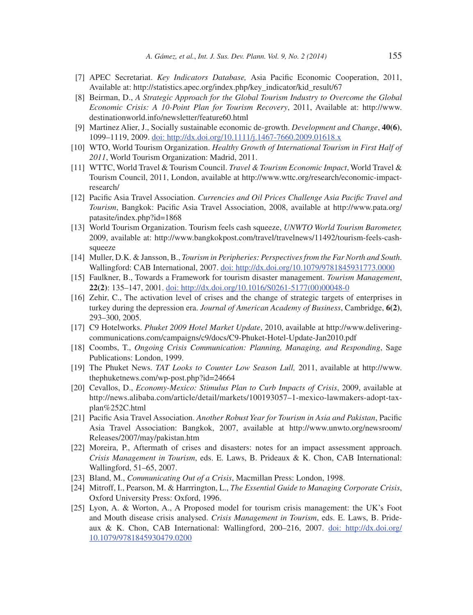- [7] APEC Secretariat. *Key Indicators Database,* Asia Pacifi c Economic Cooperation, 2011, Available at: http://statistics.apec.org/index.php/key\_indicator/kid\_result/67
- [8] Beirman, D., *A Strategic Approach for the Global Tourism Industry to Overcome the Global Economic Crisis: A 10-Point Plan for Tourism Recovery*, 2011, Available at: http://www. destinationworld.info/newsletter/feature60.html
- [9] Martinez Alier, J., Socially sustainable economic de-growth. *Development and Change*, **40(6)**, 1099–1119, 2009. doi: http://dx.doi.org/10.1111/j.1467-7660.2009.01618.x
- [10] WTO, World Tourism Organization. *Healthy Growth of International Tourism in First Half of 2011*, World Tourism Organization: Madrid, 2011.
- [11] WTTC, World Travel & Tourism Council. *Travel & Tourism Economic Impact*, World Travel & Tourism Council, 2011, London, available at http://www.wttc.org/research/economic-impactresearch/
- [12] Pacific Asia Travel Association. *Currencies and Oil Prices Challenge Asia Pacific Travel and Tourism*, Bangkok: Pacific Asia Travel Association, 2008, available at http://www.pata.org/ patasite/index.php?id=1868
- [13] World Tourism Organization. Tourism feels cash squeeze, *UNWTO World Tourism Barometer,* 2009, available at: http://www.bangkokpost.com/travel/travelnews/11492/tourism-feels-cashsqueeze
- [14] Muller, D.K. & Jansson, B., *Tourism in Peripheries: Perspectives from the Far North and South*. Wallingford: CAB International, 2007. doi: http://dx.doi.org/10.1079/9781845931773.0000
- [15] Faulkner, B., Towards a Framework for tourism disaster management. *Tourism Management*, **22(2)**: 135–147, 2001. doi: http://dx.doi.org/10.1016/S0261-5177(00)00048-0
- [16] Zehir, C., The activation level of crises and the change of strategic targets of enterprises in turkey during the depression era. *Journal of American Academy of Business*, Cambridge, **6(2)**, 293–300, 2005.
- [17] C9 Hotelworks. *Phuket 2009 Hotel Market Update*, 2010, available at http://www.deliveringcommunications.com/campaigns/c9/docs/C9-Phuket-Hotel-Update-Jan2010.pdf
- [18] Coombs, T., *Ongoing Crisis Communication: Planning, Managing, and Responding*, Sage Publications: London, 1999.
- [19] The Phuket News. *TAT Looks to Counter Low Season Lull,* 2011, available at http://www. thephuketnews.com/wp-post.php?id=24664
- [20] Cevallos, D., *Economy-Mexico: Stimulus Plan to Curb Impacts of Crisis*, 2009, available at http://news.alibaba.com/article/detail/markets/100193057–1-mexico-lawmakers-adopt-taxplan%252C.html
- [21] Pacific Asia Travel Association. *Another Robust Year for Tourism in Asia and Pakistan*, Pacific Asia Travel Association: Bangkok, 2007, available at http://www.unwto.org/newsroom/ Releases/2007/may/pakistan.htm
- [22] Moreira, P., Aftermath of crises and disasters: notes for an impact assessment approach. *Crisis Management in Tourism*, eds. E. Laws, B. Prideaux & K. Chon, CAB International: Wallingford, 51–65, 2007.
- [23] Bland, M., *Communicating Out of a Crisis*, Macmillan Press: London, 1998.
- [24] Mitroff, I., Pearson, M. & Harrrington, L., *The Essential Guide to Managing Corporate Crisis*, Oxford University Press: Oxford, 1996.
- [25] Lyon, A. & Worton, A., A Proposed model for tourism crisis management: the UK's Foot and Mouth disease crisis analysed. *Crisis Management in Tourism*, eds. E. Laws, B. Prideaux & K. Chon, CAB International: Wallingford, 200–216, 2007. doi: http://dx.doi.org/ 10.1079/9781845930479.0200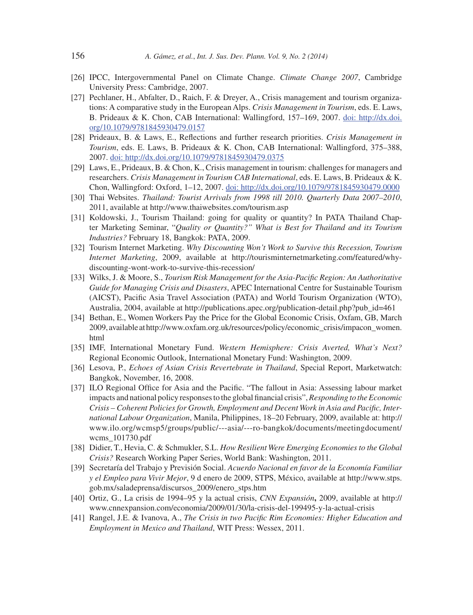- [26] IPCC, Intergovernmental Panel on Climate Change. *Climate Change 2007*, Cambridge University Press: Cambridge, 2007.
- [27] Pechlaner, H., Abfalter, D., Raich, F. & Dreyer, A., Crisis management and tourism organizations: A comparative study in the European Alps. *Crisis Management in Tourism*, eds. E. Laws, B. Prideaux & K. Chon, CAB International: Wallingford, 157–169, 2007. doi: http://dx.doi. org/10.1079/9781845930479.0157
- [28] Prideaux, B. & Laws, E., Reflections and further research priorities. *Crisis Management in Tourism*, eds. E. Laws, B. Prideaux & K. Chon, CAB International: Wallingford, 375–388, 2007. doi: http://dx.doi.org/10.1079/9781845930479.0375
- [29] Laws, E., Prideaux, B. & Chon, K., Crisis management in tourism: challenges for managers and researchers. *Crisis Management in Tourism CAB International*, eds. E. Laws, B. Prideaux & K. Chon, Wallingford: Oxford, 1–12, 2007. doi: http://dx.doi.org/10.1079/9781845930479.0000
- [30] Thai Websites. *Thailand: Tourist Arrivals from 1998 till 2010. Quarterly Data 2007–2010*, 2011, available at http://www.thaiwebsites.com/tourism.asp
- [31] Koldowski, J., Tourism Thailand: going for quality or quantity? In PATA Thailand Chapter Marketing Seminar, "*Quality or Quantity?" What is Best for Thailand and its Tourism Industries?* February 18, Bangkok: PATA, 2009.
- [32] Tourism Internet Marketing. *Why Discounting Won't Work to Survive this Recession, Tourism Internet Marketing*, 2009, available at http://tourisminternetmarketing.com/featured/whydiscounting-wont-work-to-survive-this-recession/
- [33] Wilks, J. & Moore, S., *Tourism Risk Management for the Asia-Pacifi c Region: An Authoritative Guide for Managing Crisis and Disasters*, APEC International Centre for Sustainable Tourism (AICST), Pacific Asia Travel Association (PATA) and World Tourism Organization (WTO), Australia, 2004, available at http://publications.apec.org/publication-detail.php?pub\_id=461
- [34] Bethan, E., Women Workers Pay the Price for the Global Economic Crisis, Oxfam, GB, March 2009, available at http://www.oxfam.org.uk/resources/policy/economic\_crisis/impacon\_women. html
- [35] IMF, International Monetary Fund. *Western Hemisphere: Crisis Averted, What's Next?*  Regional Economic Outlook, International Monetary Fund: Washington, 2009.
- [36] Lesova, P., *Echoes of Asian Crisis Revertebrate in Thailand*, Special Report, Marketwatch: Bangkok, November, 16, 2008.
- [37] ILO Regional Office for Asia and the Pacific. "The fallout in Asia: Assessing labour market impacts and national policy responses to the global financial crisis", *Responding to the Economic* Crisis – Coherent Policies for Growth, Employment and Decent Work in Asia and Pacific, Inter*national Labour Organization*, Manila, Philippines, 18–20 February, 2009, available at: http:// www.ilo.org/wcmsp5/groups/public/---asia/---ro-bangkok/documents/meetingdocument/ wcms\_101730.pdf
- [38] Didier, T., Hevia, C. & Schmukler, S.L. *How Resilient Were Emerging Economies to the Global Crisis?* Research Working Paper Series, World Bank: Washington, 2011.
- [39] Secretaría del Trabajo y Previsión Social. *Acuerdo Nacional en favor de la Economía Familiar y el Empleo para Vivir Mejor*, 9 d enero de 2009, STPS, México, available at http://www.stps. gob.mx/saladeprensa/discursos\_2009/enero\_stps.htm
- [40] Ortiz, G., La crisis de 1994–95 y la actual crisis, *CNN Expansión***,** 2009, available at http:// www.cnnexpansion.com/economia/2009/01/30/la-crisis-del-199495-y-la-actual-crisis
- [41] Rangel, J.E. & Ivanova, A., *The Crisis in two Pacifi c Rim Economies: Higher Education and Employment in Mexico and Thailand*, WIT Press: Wessex, 2011.